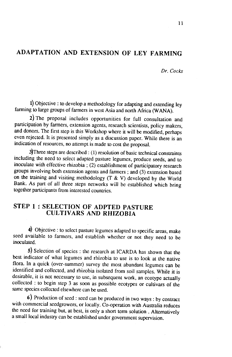# ADAPTATION AND EXTENSION OF LEY FARMING

Dr. Cocks

1) Objective : to develop a methodology for adapting and extending ley farming to large groups of farmers in west Asia and north Africa (WANA).

2) The proposal includes opportunities for full consultation and participation by farmers, extension agents, research scientists, policy makers, and donors. The first step is this workshop where it will be modified, perhaps even rejected. It is presented simply as a discussion paper. while there is an indication of resources, no attempt is made to cost the proposal.

 $3$ Three steps are described : (1) resolution of basic technical constraints including the need to select adapted pasture legumes, produce seeds, and to inoculate with effective rhizobia ; (2) establishment of participatory research groups involving both extension agents and farmers ; and (3) extension based on the training and visiting methodology  $(T \& V)$  developed by the World Bank. As part of all three steps networks will be established which bring together participants from interested countries.

### STEP 1 : SELECTION OF ADPTED PASTURE CULTIVARS AND RHIZOBIA

 $\left\langle \cdot \right\rangle$  Objective : to select pasture legumes adapted to specific areas, make seed available to farmers, and establish whether or not they need to be inoculated.

5) Selection of species : the research at ICARDA has shown that the best indicator of what legumes and rhizobia to use is to look at the native flora. In a quick (over-summer) survey the most abundant legumes can be identified and collected, and rhizobia isolared from soil samplès. while ir is desirable, it is not necessary to use, in subsequent work, an ecotype actually collected : to bcgin step 3 as soon as possible ecotypes or cultivars of the samc species collected elsewhere can be used.

6) Production of seed : seed can be produced in two ways : by contract with commercial seedgrowers, or locally. Co-operation with Australia reduces the need for training but, at best, is only a short term solution . Alternatively a small local industry can be established under government supervision.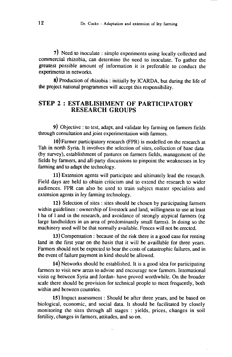7) Need to inoculate : simple experiments using locally collected and commercial rhizobia, can determine the need to inoculate. To gather the greatest possible amount of information it is preferable to conduct the experiments in networks.

E) Production of rhizobia : initially by ICARDA, bur during the life of the project national programmes will accept this responsibility.

#### STEP 2 : ESTABLISHMENT OF PARTICIPATORY RESEARCH GROUPS

9) Obiective : to test, adapt, and validate ley farming on farmers fields through consultation and joint experimentation with farmers.

10) Farmer participatory research (FPR) is modelled on rhe research at Tah in north Syria. It involves the selection of sites, collection of base data (by survey), establishment of pastures on farmers fields, management of the fields by farmers, and all-party discussions to pinpoint tie weaknesses in ley farming and to adapt the æchnology.

11) Extension agents will participate and ultimately lead the research. Field days are held to obtain criticism and to extend the research to wider audiences. FPR can also be used to train subject matter specialists and extension agents in ley farming technology.

12) Selection of sites : siæs should be chosen by participating farmers within guidelines : ownership of livestock and land, willingness to use at least I ha of I and in the research, and avoidance of strongly atypical farmers (eg large landholders in an area of predominantly small farms). In doing so the machinery used will be that normally available. Fences will not be erected.

13) Compensation : because of the risk there is a good case for renting land in the first year on the basis that it will be availlable for three years. Farmers should not be expected to bear the costs of catasrophic failures, and in the event of failure payment in kind should be allowed.

14) Networks should be established. It is a good idea for participating farmers to visit new areas to advise and encourage new farmers. International visits eg between Syria and Jordan- have proved worthwhile. On the broader scale there should be provision for technical people to meet frequently, both within and between countries.

15) Impact assessment : Should be after three years, and be based on biological, economic, and social data. It should be facilitated by closely monitoring the sites through all stages : yields, prices, changes in soil fertility, changes in farmers, attitudes, and so on.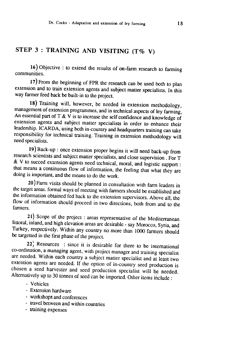# STEP  $3:$  TRAINING AND VISITING (T% V)

16) Objective : to extend the results of on-farm research to farming communities.

17) From the beginning of FpR the research can be used both to plan extension and to train extension agents and subject matter specialists. In this way farmer feed back be built-in to the project.

18) Training will, however, be needed in extension methodology, management of extension programmes, and in technical aspects of ley farming, An essential part of T & V is to increase the self confidence and knowledge of extension agents and subject matter specialists in order to enhance their leadership. ICARDA, using both in-country and headquarters training can take responsibility for technical training. Training in extension methodolog

19)Back-up : once extension proper begins it will need back-up from research scientists and subject matter specialists, and close supervision . For T & v to succed extension agents need technical, moral, and Lgistic suppon : that means a continuous flow of information, the feeling that what they are doing is important, and the means to do the work.<br>20) Farm visits should be planned in consultation with farm leaders in

the target areas. formal ways of meeting with farmers should be established and<br>the information obtained fed back to the extension supervisors. Above all, the<br>flow of information should proceed in two directions, both from

21) Scope of the project : areas representative of the Mediterranean littoral, inland, and high elevation areas are desirable - say Morocco, Syria, and Turkey, respectively. Within any country no more than 1000 farmers should be targetted in the first phase of the project.

22) Resources : since it is desirable for there to be international co-ordination, a managing agent, with project manager and training specialist extention agents are needed. If the option of in-country seed production is chosen a seed harvester and seed production specialist will be needed. Alternatively up to 30 tonnes of seed can be imported. Other items include

#### - Vehicles

- Extension hardware
- workshops and conferences
- travel between and within countries
- training expenses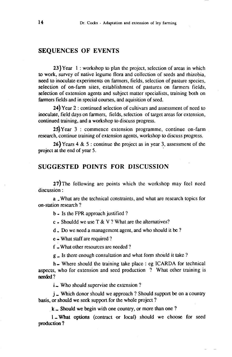#### SEQUENCES OF EVENTS

23) Year 1 : workshop to plan the project, selection of areas in which to work, survey of native legume flora and collection of seeds and rhizobia, need to inoculate experiments on farmers, fields, selection of pasture species, selection of on-farm sites, establishment of pastures on farmers fields, selection of extension agents and subject matter specialists, training both on farmers fields and in special courses, and aquisition of seed.

24) Year  $2$  : continued selection of cultivars and assessment of need to inoculate, field days on farmers, fields, selection of target areas for extension, continued training, and a workshop to discuss progress.

25)Year 3 : commence extension programme, continue on-farm research, continue training of extension agents, workshop to discuss progress.

26) Years 4 & 5 : continue the project as in year 3, assessment of the project at the end of year 5.

## SUGGESTED POINTS FOR DISCUSSION

 $27$ ) The following are points which the workshop may feel need discussion:

a What are the technical constraints, and what are research topics for on-station research ?

b - Is the FPR approach justified ?

c - Shouldd we use T & V ? What are the alternatives?

d - Do we need a managemcnt agent, and who should it be ?

 $e -$  What staff are required ?

f - What other resources are needed?

 $g$   $\overline{g}$  Is there enough consultation and what form should it take ?

h - Where should the training take place : eg ICARDA for technical aspects, who for extension and seed production ? What other training is needed?

 $i$  - Who should supervise the extension ?

 $j$   $\sim$  Which donor should we approach ? Should support be on a country basis, or should we seek support for the whole project ?

 $k$  - Should we begin with one country, or more than one ?

1 - What options (contract or local) should we choose for seed production ?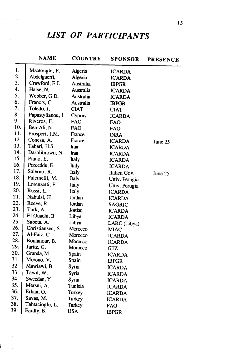# LIST OF PARTICIPANTS

|     | <b>NAME</b>      | <b>COUNTRY</b> | <b>SPONSOR</b> | <b>PRESENCE</b> |
|-----|------------------|----------------|----------------|-----------------|
| 1.  | Maatoughi, E.    | Algeria        | <b>ICARDA</b>  |                 |
| 2.  | Abdelguerfi,     | Algeria        | <b>ICARDA</b>  |                 |
| 3.  | Crawford, E.J.   | Australia      | <b>IBPGR</b>   |                 |
| 4.  | Halse, N.        | Australia      | <b>ICARDA</b>  |                 |
| 5.  | Webber, G.D.     | Australia      | <b>ICARDA</b>  |                 |
| 6.  | Francis, C.      | Australia      | <b>IBPGR</b>   |                 |
| 7.  | Toledo, J.       | <b>CIAT</b>    | <b>CIAT</b>    |                 |
| 8.  | Papastylianou, I | Cyprus         | <b>ICARDA</b>  |                 |
| 9.  | Riveros, F.      | <b>FAO</b>     | <b>FAO</b>     |                 |
| 10. | Ben-Ali, N       | <b>FAO</b>     | <b>FAO</b>     |                 |
| 11. | Prosperi, J.M.   | France         | <b>INRA</b>    |                 |
| 12. | Conesa, A.       | France         | <b>ICARDA</b>  | June 25         |
| 13. | Tabari, H.S.     | Iran           | <b>ICARDA</b>  |                 |
| 14. | Dashlibrown, N.  | Iran           | <b>ICARDA</b>  |                 |
| 15. | Piano, E.        | Italy          | <b>ICARDA</b>  |                 |
| 16. | Porceddu, E.     | Italy          | <b>ICARDA</b>  |                 |
| 17. | Salerno, R.      | Italy          | Italien Gov.   | June 25         |
| 18. | Falcinelli, M.   | <b>Italy</b>   | Univ. Perugia  |                 |
| 19. | Lorenzetti, F.   | <b>Italy</b>   | Univ. Perugia  |                 |
| 20. | Russi, L.        | Italy          | <b>ICARDA</b>  |                 |
| 21. | Nabulsi, H       | Jordan         | <b>ICARDA</b>  |                 |
| 22. | Reeve, R.        | Jordan         | <b>SAGRIC</b>  |                 |
| 23. | Turk, A.         | Jordan         | <b>ICARDA</b>  |                 |
| 24. | El-Ouachi, B     | Libya          | <b>ICARDA</b>  |                 |
| 25. | Sabeta, A.       | Libya          | LARC (Libya)   |                 |
| 26. | Christiansen, S. | Morocco        | <b>MIAC</b>    |                 |
| 27. | Al-Faiz, C       | Morocco        | <b>ICARDA</b>  |                 |
| 28. | Boulanour, B.    | Morocco        | <b>ICARDA</b>  |                 |
| 29. | Jaritz, G.       | Morocco        | GTZ            |                 |
| 30. | Granda, M.       | Spain          | <b>ICARDA</b>  |                 |
| 31. | Moreno, V.       | Spain          | <b>IBPGR</b>   |                 |
| 32. | Mawlawi, B.      | Syria          | <b>ICARDA</b>  |                 |
| 33. | Tawil, W.        | Syria          | <b>ICARDA</b>  |                 |
| 34. | Sweedan, Y       | Syria          | <b>ICARDA</b>  |                 |
| 35. | Mersni, A.       | Tunisia        | <b>ICARDA</b>  |                 |
| 36. | Erkan, O.        | Turkey         | <b>ICARDA</b>  |                 |
| 37. | Savas, M.        | <b>Turkey</b>  | <b>ICARDA</b>  |                 |
| 38. | Tahtacioglu, L.  | Turkey         | FAO            |                 |
| 39  | Eardly, B.       | 'USA           | <b>IBPGR</b>   |                 |